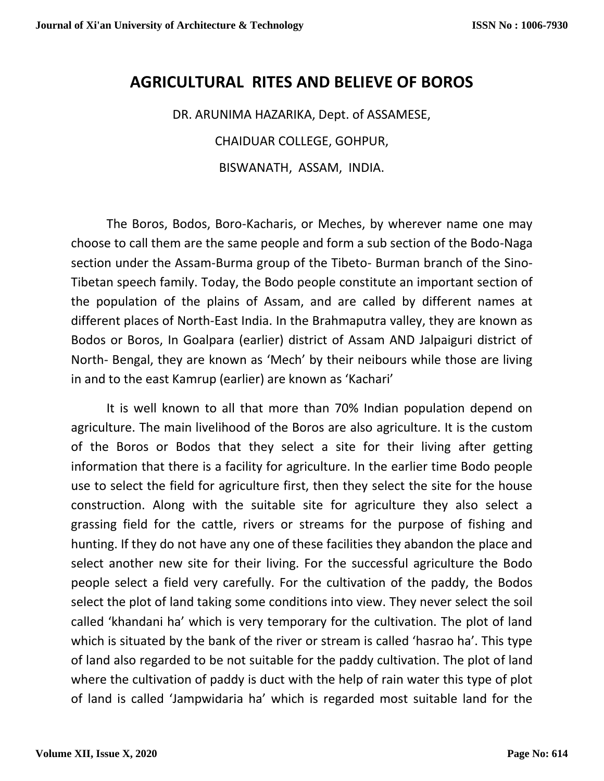## **AGRICULTURAL RITES AND BELIEVE OF BOROS**

DR. ARUNIMA HAZARIKA, Dept. of ASSAMESE,

CHAIDUAR COLLEGE, GOHPUR,

BISWANATH, ASSAM, INDIA.

The Boros, Bodos, Boro-Kacharis, or Meches, by wherever name one may choose to call them are the same people and form a sub section of the Bodo-Naga section under the Assam-Burma group of the Tibeto- Burman branch of the Sino-Tibetan speech family. Today, the Bodo people constitute an important section of the population of the plains of Assam, and are called by different names at different places of North-East India. In the Brahmaputra valley, they are known as Bodos or Boros, In Goalpara (earlier) district of Assam AND Jalpaiguri district of North- Bengal, they are known as 'Mech' by their neibours while those are living in and to the east Kamrup (earlier) are known as 'Kachari'

It is well known to all that more than 70% Indian population depend on agriculture. The main livelihood of the Boros are also agriculture. It is the custom of the Boros or Bodos that they select a site for their living after getting information that there is a facility for agriculture. In the earlier time Bodo people use to select the field for agriculture first, then they select the site for the house construction. Along with the suitable site for agriculture they also select a grassing field for the cattle, rivers or streams for the purpose of fishing and hunting. If they do not have any one of these facilities they abandon the place and select another new site for their living. For the successful agriculture the Bodo people select a field very carefully. For the cultivation of the paddy, the Bodos select the plot of land taking some conditions into view. They never select the soil called 'khandani ha' which is very temporary for the cultivation. The plot of land which is situated by the bank of the river or stream is called 'hasrao ha'. This type of land also regarded to be not suitable for the paddy cultivation. The plot of land where the cultivation of paddy is duct with the help of rain water this type of plot of land is called 'Jampwidaria ha' which is regarded most suitable land for the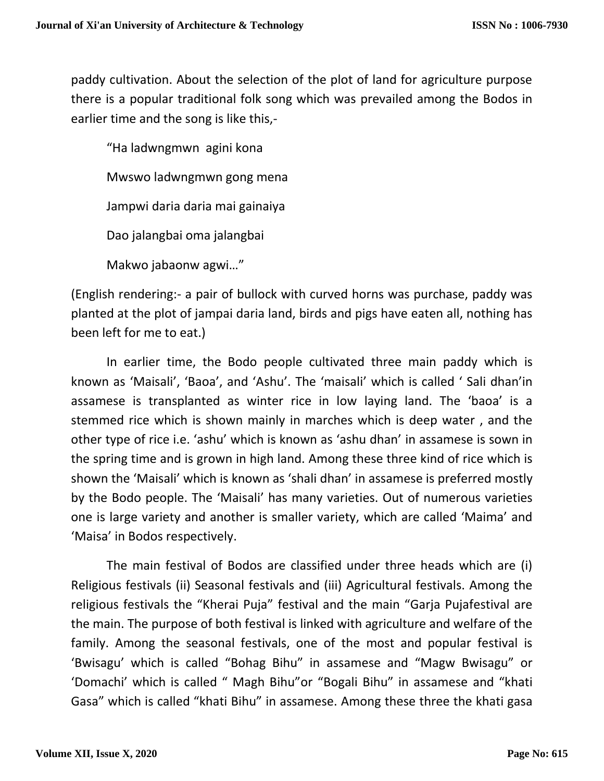paddy cultivation. About the selection of the plot of land for agriculture purpose there is a popular traditional folk song which was prevailed among the Bodos in earlier time and the song is like this,-

"Ha ladwngmwn agini kona Mwswo ladwngmwn gong mena Jampwi daria daria mai gainaiya Dao jalangbai oma jalangbai Makwo jabaonw agwi…"

(English rendering:- a pair of bullock with curved horns was purchase, paddy was planted at the plot of jampai daria land, birds and pigs have eaten all, nothing has been left for me to eat.)

In earlier time, the Bodo people cultivated three main paddy which is known as 'Maisali', 'Baoa', and 'Ashu'. The 'maisali' which is called ' Sali dhan'in assamese is transplanted as winter rice in low laying land. The 'baoa' is a stemmed rice which is shown mainly in marches which is deep water , and the other type of rice i.e. 'ashu' which is known as 'ashu dhan' in assamese is sown in the spring time and is grown in high land. Among these three kind of rice which is shown the 'Maisali' which is known as 'shali dhan' in assamese is preferred mostly by the Bodo people. The 'Maisali' has many varieties. Out of numerous varieties one is large variety and another is smaller variety, which are called 'Maima' and 'Maisa' in Bodos respectively.

The main festival of Bodos are classified under three heads which are (i) Religious festivals (ii) Seasonal festivals and (iii) Agricultural festivals. Among the religious festivals the "Kherai Puja" festival and the main "Garja Pujafestival are the main. The purpose of both festival is linked with agriculture and welfare of the family. Among the seasonal festivals, one of the most and popular festival is 'Bwisagu' which is called "Bohag Bihu" in assamese and "Magw Bwisagu" or 'Domachi' which is called " Magh Bihu"or "Bogali Bihu" in assamese and "khati Gasa" which is called "khati Bihu" in assamese. Among these three the khati gasa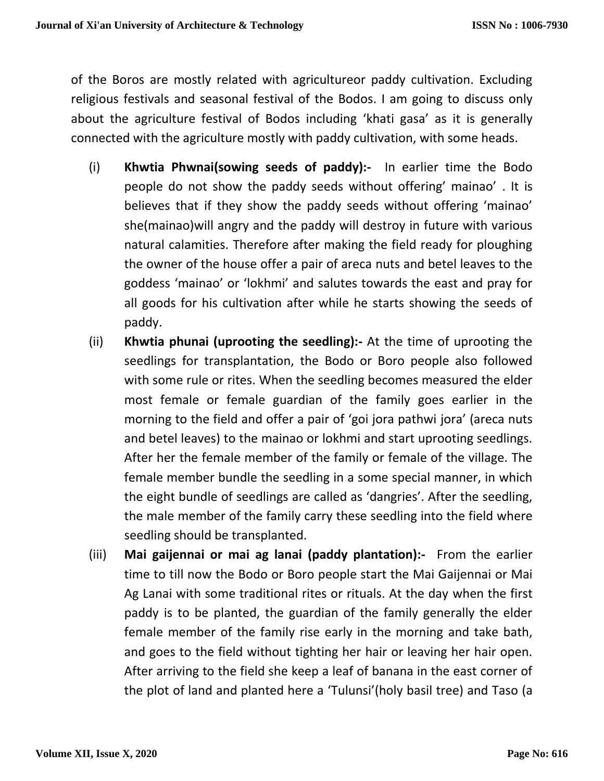of the Boros are mostly related with agricultureor paddy cultivation. Excluding religious festivals and seasonal festival of the Bodos. I am going to discuss only about the agriculture festival of Bodos including 'khati gasa' as it is generally connected with the agriculture mostly with paddy cultivation, with some heads.

- (i) **Khwtia Phwnai(sowing seeds of paddy):-** In earlier time the Bodo people do not show the paddy seeds without offering' mainao' . It is believes that if they show the paddy seeds without offering 'mainao' she(mainao)will angry and the paddy will destroy in future with various natural calamities. Therefore after making the field ready for ploughing the owner of the house offer a pair of areca nuts and betel leaves to the goddess 'mainao' or 'lokhmi' and salutes towards the east and pray for all goods for his cultivation after while he starts showing the seeds of paddy.
- (ii) **Khwtia phunai (uprooting the seedling):-** At the time of uprooting the seedlings for transplantation, the Bodo or Boro people also followed with some rule or rites. When the seedling becomes measured the elder most female or female guardian of the family goes earlier in the morning to the field and offer a pair of 'goi jora pathwi jora' (areca nuts and betel leaves) to the mainao or lokhmi and start uprooting seedlings. After her the female member of the family or female of the village. The female member bundle the seedling in a some special manner, in which the eight bundle of seedlings are called as 'dangries'. After the seedling, the male member of the family carry these seedling into the field where seedling should be transplanted.
- (iii) **Mai gaijennai or mai ag lanai (paddy plantation):-** From the earlier time to till now the Bodo or Boro people start the Mai Gaijennai or Mai Ag Lanai with some traditional rites or rituals. At the day when the first paddy is to be planted, the guardian of the family generally the elder female member of the family rise early in the morning and take bath, and goes to the field without tighting her hair or leaving her hair open. After arriving to the field she keep a leaf of banana in the east corner of the plot of land and planted here a 'Tulunsi'(holy basil tree) and Taso (a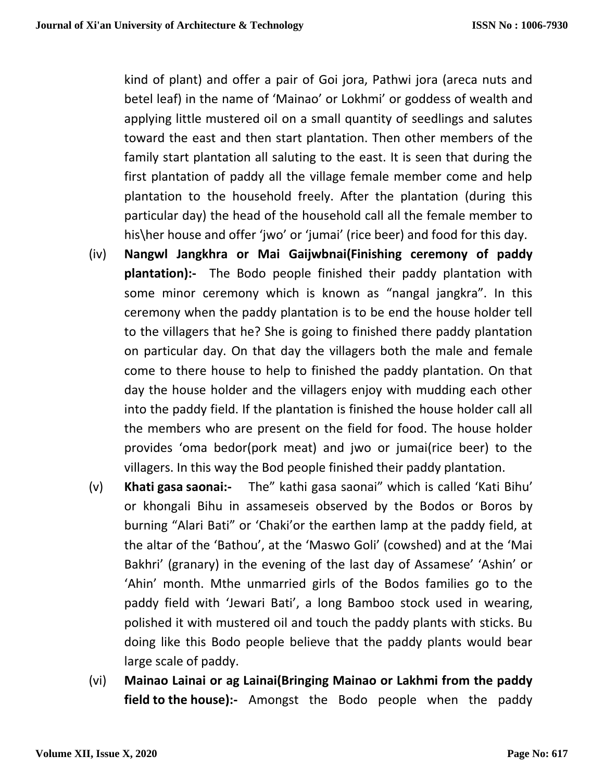kind of plant) and offer a pair of Goi jora, Pathwi jora (areca nuts and betel leaf) in the name of 'Mainao' or Lokhmi' or goddess of wealth and applying little mustered oil on a small quantity of seedlings and salutes toward the east and then start plantation. Then other members of the family start plantation all saluting to the east. It is seen that during the first plantation of paddy all the village female member come and help plantation to the household freely. After the plantation (during this particular day) the head of the household call all the female member to his\her house and offer 'jwo' or 'jumai' (rice beer) and food for this day.

- (iv) **Nangwl Jangkhra or Mai Gaijwbnai(Finishing ceremony of paddy plantation):-** The Bodo people finished their paddy plantation with some minor ceremony which is known as "nangal jangkra". In this ceremony when the paddy plantation is to be end the house holder tell to the villagers that he? She is going to finished there paddy plantation on particular day. On that day the villagers both the male and female come to there house to help to finished the paddy plantation. On that day the house holder and the villagers enjoy with mudding each other into the paddy field. If the plantation is finished the house holder call all the members who are present on the field for food. The house holder provides 'oma bedor(pork meat) and jwo or jumai(rice beer) to the villagers. In this way the Bod people finished their paddy plantation.
- (v) **Khati gasa saonai:-** The" kathi gasa saonai" which is called 'Kati Bihu' or khongali Bihu in assameseis observed by the Bodos or Boros by burning "Alari Bati" or 'Chaki'or the earthen lamp at the paddy field, at the altar of the 'Bathou', at the 'Maswo Goli' (cowshed) and at the 'Mai Bakhri' (granary) in the evening of the last day of Assamese' 'Ashin' or 'Ahin' month. Mthe unmarried girls of the Bodos families go to the paddy field with 'Jewari Bati', a long Bamboo stock used in wearing, polished it with mustered oil and touch the paddy plants with sticks. Bu doing like this Bodo people believe that the paddy plants would bear large scale of paddy.
- (vi) **Mainao Lainai or ag Lainai(Bringing Mainao or Lakhmi from the paddy field to the house):-** Amongst the Bodo people when the paddy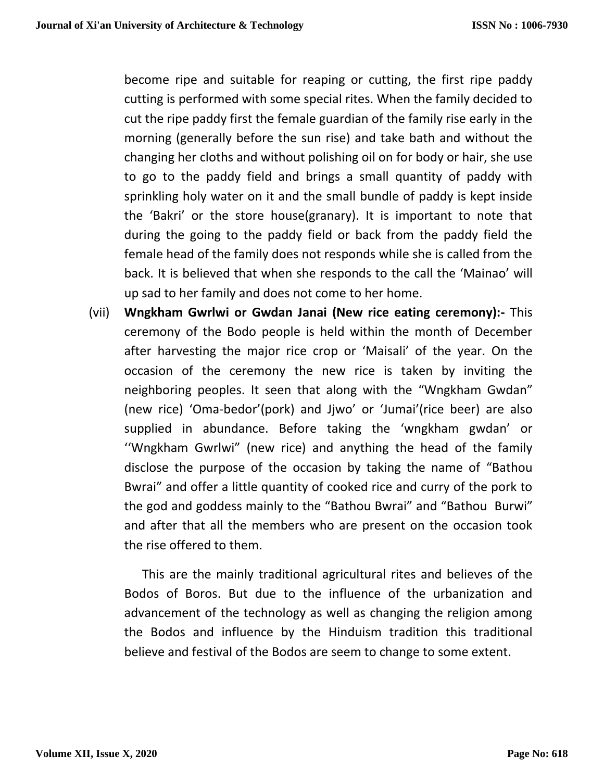become ripe and suitable for reaping or cutting, the first ripe paddy cutting is performed with some special rites. When the family decided to cut the ripe paddy first the female guardian of the family rise early in the morning (generally before the sun rise) and take bath and without the changing her cloths and without polishing oil on for body or hair, she use to go to the paddy field and brings a small quantity of paddy with sprinkling holy water on it and the small bundle of paddy is kept inside the 'Bakri' or the store house(granary). It is important to note that during the going to the paddy field or back from the paddy field the female head of the family does not responds while she is called from the back. It is believed that when she responds to the call the 'Mainao' will up sad to her family and does not come to her home.

(vii) **Wngkham Gwrlwi or Gwdan Janai (New rice eating ceremony):-** This ceremony of the Bodo people is held within the month of December after harvesting the major rice crop or 'Maisali' of the year. On the occasion of the ceremony the new rice is taken by inviting the neighboring peoples. It seen that along with the "Wngkham Gwdan" (new rice) 'Oma-bedor'(pork) and Jjwo' or 'Jumai'(rice beer) are also supplied in abundance. Before taking the 'wngkham gwdan' or ''Wngkham Gwrlwi" (new rice) and anything the head of the family disclose the purpose of the occasion by taking the name of "Bathou Bwrai" and offer a little quantity of cooked rice and curry of the pork to the god and goddess mainly to the "Bathou Bwrai" and "Bathou Burwi" and after that all the members who are present on the occasion took the rise offered to them.

This are the mainly traditional agricultural rites and believes of the Bodos of Boros. But due to the influence of the urbanization and advancement of the technology as well as changing the religion among the Bodos and influence by the Hinduism tradition this traditional believe and festival of the Bodos are seem to change to some extent.